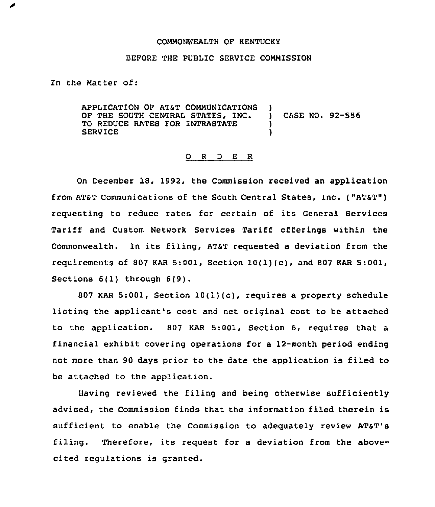## COMMONWEALTH OF KENTUCKY

## BEFORE THE PUBLIC SERVICE COMMISSION

In the Matter of:

APPLICATION OF AT&T COMMUNICATIONS )<br>OF THE SOUTH CENTRAL STATES, INC. OF THE SOUTH CENTRAL STATES, INC. ) CASE NO. 92-556<br>TO REDUCE RATES FOR INTRASTATE TO REDUCE RATES FOR INTRASTATE  $\qquad \qquad$  ) **SERVICE** 

## 0 <sup>R</sup> <sup>D</sup> E <sup>R</sup>

On December 18, 1992, the Commission received an application from AT&T Communications of the South Central States, Inc. ("AT&T") requesting to reduce rates for certain of its General Services Tariff and Custom Network Services Tariff offerings within the Commonwealth. In its filing, AT&T requested a deviation from the requirements of 807 KAR 5:001, Section  $10(1)(c)$ , and 807 KAR 5:001, Sections 6(1) through 6(9).

807 KAR 5:001, Section  $10(1)(c)$ , requires a property schedule listing the applicant's cost and net original cost to be attached to the application. 807 KAR 5:001, Section 6, requires that a financial exhibit covering operations for a 12-month period ending not more than 90 days prior to the date the application is filed to be attached to the application.

Having reviewed the filing and being otherwise sufficiently advised, the Commission finds that the information filed therein is sufficient to enable the Commission to adequately review ATsT's filing. Therefore, its request for a deviation from the abovecited regulations is granted.